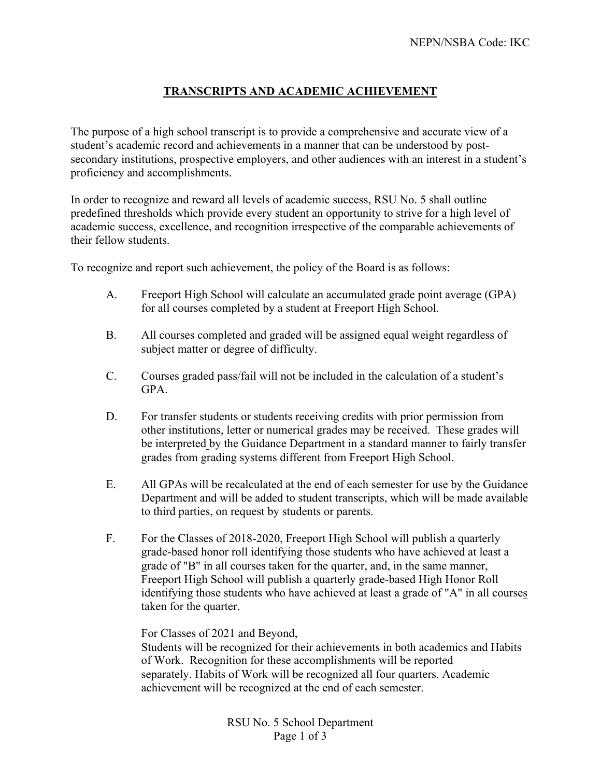## **TRANSCRIPTS AND ACADEMIC ACHIEVEMENT**

The purpose of a high school transcript is to provide a comprehensive and accurate view of a student's academic record and achievements in a manner that can be understood by postsecondary institutions, prospective employers, and other audiences with an interest in a student's proficiency and accomplishments.

In order to recognize and reward all levels of academic success, RSU No. 5 shall outline predefined thresholds which provide every student an opportunity to strive for a high level of academic success, excellence, and recognition irrespective of the comparable achievements of their fellow students.

To recognize and report such achievement, the policy of the Board is as follows:

- A. Freeport High School will calculate an accumulated grade point average (GPA) for all courses completed by a student at Freeport High School.
- B. All courses completed and graded will be assigned equal weight regardless of subject matter or degree of difficulty.
- C. Courses graded pass/fail will not be included in the calculation of a student's GPA.
- D. For transfer students or students receiving credits with prior permission from other institutions, letter or numerical grades may be received. These grades will be interpreted by the Guidance Department in a standard manner to fairly transfer grades from grading systems different from Freeport High School.
- E. All GPAs will be recalculated at the end of each semester for use by the Guidance Department and will be added to student transcripts, which will be made available to third parties, on request by students or parents.
- F. For the Classes of 2018-2020, Freeport High School will publish a quarterly grade-based honor roll identifying those students who have achieved at least a grade of "B" in all courses taken for the quarter, and, in the same manner, Freeport High School will publish a quarterly grade-based High Honor Roll identifying those students who have achieved at least a grade of "A" in all courses taken for the quarter.

For Classes of 2021 and Beyond,

Students will be recognized for their achievements in both academics and Habits of Work. Recognition for these accomplishments will be reported separately. Habits of Work will be recognized all four quarters. Academic achievement will be recognized at the end of each semester.

> RSU No. 5 School Department Page 1 of 3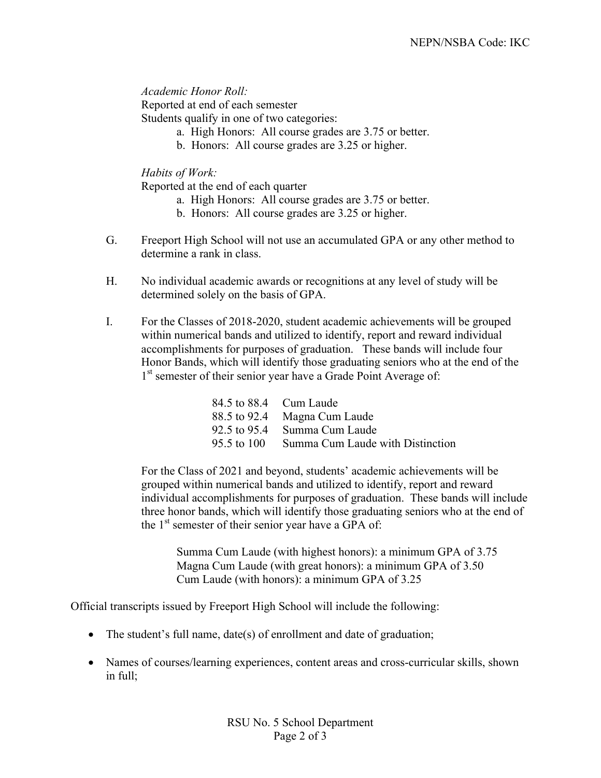*Academic Honor Roll:* Reported at end of each semester Students qualify in one of two categories:

- a. High Honors: All course grades are 3.75 or better.
- b. Honors: All course grades are 3.25 or higher.

*Habits of Work:*

Reported at the end of each quarter

- a. High Honors: All course grades are 3.75 or better.
- b. Honors: All course grades are 3.25 or higher.
- G. Freeport High School will not use an accumulated GPA or any other method to determine a rank in class.
- H. No individual academic awards or recognitions at any level of study will be determined solely on the basis of GPA.
- I. For the Classes of 2018-2020, student academic achievements will be grouped within numerical bands and utilized to identify, report and reward individual accomplishments for purposes of graduation. These bands will include four Honor Bands, which will identify those graduating seniors who at the end of the 1<sup>st</sup> semester of their senior year have a Grade Point Average of:

|             | 84.5 to 88.4 Cum Laude           |
|-------------|----------------------------------|
|             | 88.5 to 92.4 Magna Cum Laude     |
|             | 92.5 to 95.4 Summa Cum Laude     |
| 95.5 to 100 | Summa Cum Laude with Distinction |

 For the Class of 2021 and beyond, students' academic achievements will be grouped within numerical bands and utilized to identify, report and reward individual accomplishments for purposes of graduation. These bands will include three honor bands, which will identify those graduating seniors who at the end of the  $1<sup>st</sup>$  semester of their senior year have a GPA of:

Summa Cum Laude (with highest honors): a minimum GPA of 3.75 Magna Cum Laude (with great honors): a minimum GPA of 3.50 Cum Laude (with honors): a minimum GPA of 3.25

Official transcripts issued by Freeport High School will include the following:

- The student's full name, date(s) of enrollment and date of graduation;
- Names of courses/learning experiences, content areas and cross-curricular skills, shown in full;